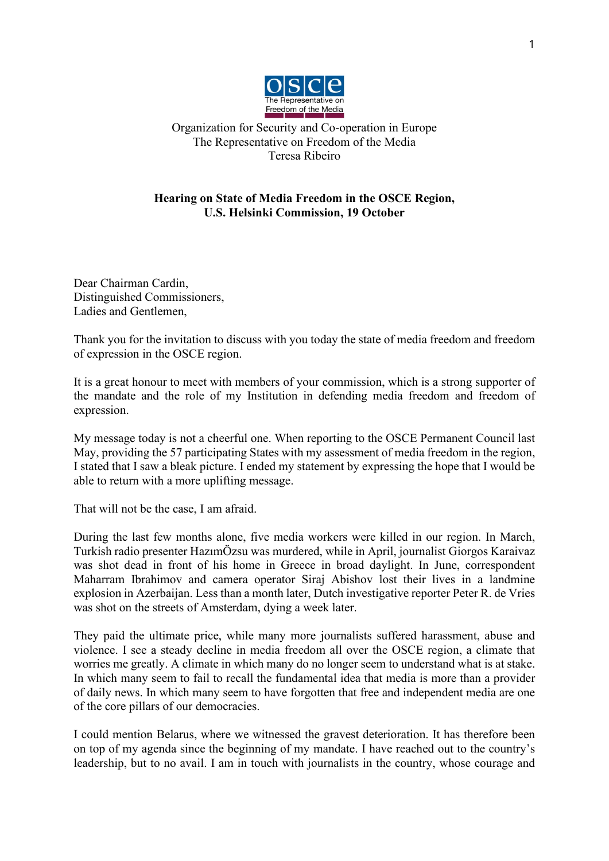

Organization for Security and Co-operation in Europe The Representative on Freedom of the Media Teresa Ribeiro

## **Hearing on State of Media Freedom in the OSCE Region, U.S. Helsinki Commission, 19 October**

Dear Chairman Cardin, Distinguished Commissioners, Ladies and Gentlemen,

Thank you for the invitation to discuss with you today the state of media freedom and freedom of expression in the OSCE region.

It is a great honour to meet with members of your commission, which is a strong supporter of the mandate and the role of my Institution in defending media freedom and freedom of expression.

My message today is not a cheerful one. When reporting to the OSCE Permanent Council last May, providing the 57 participating States with my assessment of media freedom in the region, I stated that I saw a bleak picture. I ended my statement by expressing the hope that I would be able to return with a more uplifting message.

That will not be the case, I am afraid.

During the last few months alone, five media workers were killed in our region. In March, Turkish radio presenter HazımÖzsu was murdered, while in April, journalist Giorgos Karaivaz was shot dead in front of his home in Greece in broad daylight. In June, correspondent Maharram Ibrahimov and camera operator Siraj Abishov lost their lives in a landmine explosion in Azerbaijan. Less than a month later, Dutch investigative reporter Peter R. de Vries was shot on the streets of Amsterdam, dying a week later.

They paid the ultimate price, while many more journalists suffered harassment, abuse and violence. I see a steady decline in media freedom all over the OSCE region, a climate that worries me greatly. A climate in which many do no longer seem to understand what is at stake. In which many seem to fail to recall the fundamental idea that media is more than a provider of daily news. In which many seem to have forgotten that free and independent media are one of the core pillars of our democracies.

I could mention Belarus, where we witnessed the gravest deterioration. It has therefore been on top of my agenda since the beginning of my mandate. I have reached out to the country's leadership, but to no avail. I am in touch with journalists in the country, whose courage and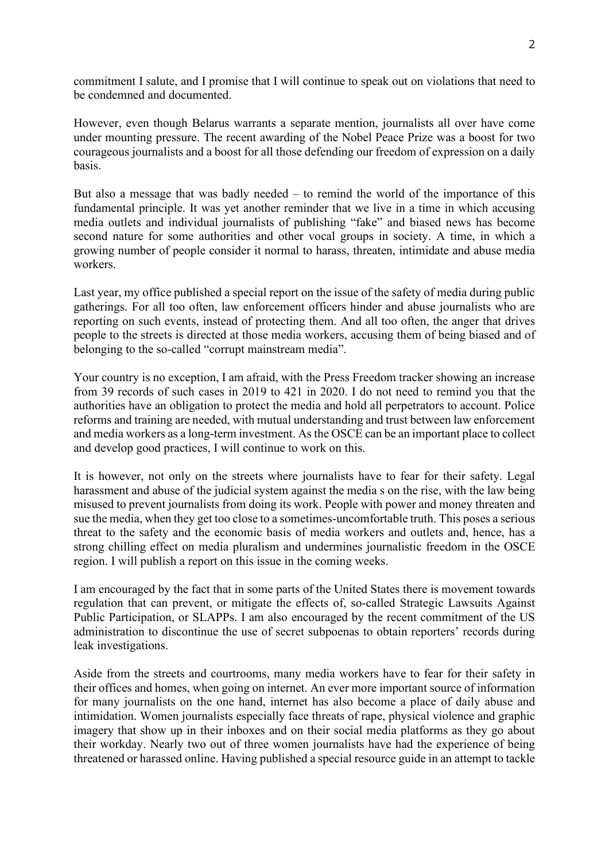commitment I salute, and I promise that I will continue to speak out on violations that need to be condemned and documented.

However, even though Belarus warrants a separate mention, journalists all over have come under mounting pressure. The recent awarding of the Nobel Peace Prize was a boost for two courageous journalists and a boost for all those defending our freedom of expression on a daily basis.

But also a message that was badly needed – to remind the world of the importance of this fundamental principle. It was yet another reminder that we live in a time in which accusing media outlets and individual journalists of publishing "fake" and biased news has become second nature for some authorities and other vocal groups in society. A time, in which a growing number of people consider it normal to harass, threaten, intimidate and abuse media workers.

Last year, my office published a special report on the issue of the safety of media during public gatherings. For all too often, law enforcement officers hinder and abuse journalists who are reporting on such events, instead of protecting them. And all too often, the anger that drives people to the streets is directed at those media workers, accusing them of being biased and of belonging to the so-called "corrupt mainstream media".

Your country is no exception, I am afraid, with the Press Freedom tracker showing an increase from 39 records of such cases in 2019 to 421 in 2020. I do not need to remind you that the authorities have an obligation to protect the media and hold all perpetrators to account. Police reforms and training are needed, with mutual understanding and trust between law enforcement and media workers as a long-term investment. As the OSCE can be an important place to collect and develop good practices, I will continue to work on this.

It is however, not only on the streets where journalists have to fear for their safety. Legal harassment and abuse of the judicial system against the media s on the rise, with the law being misused to prevent journalists from doing its work. People with power and money threaten and sue the media, when they get too close to a sometimes-uncomfortable truth. This poses a serious threat to the safety and the economic basis of media workers and outlets and, hence, has a strong chilling effect on media pluralism and undermines journalistic freedom in the OSCE region. I will publish a report on this issue in the coming weeks.

I am encouraged by the fact that in some parts of the United States there is movement towards regulation that can prevent, or mitigate the effects of, so-called Strategic Lawsuits Against Public Participation, or SLAPPs. I am also encouraged by the recent commitment of the US administration to discontinue the use of secret subpoenas to obtain reporters' records during leak investigations.

Aside from the streets and courtrooms, many media workers have to fear for their safety in their offices and homes, when going on internet. An ever more important source of information for many journalists on the one hand, internet has also become a place of daily abuse and intimidation. Women journalists especially face threats of rape, physical violence and graphic imagery that show up in their inboxes and on their social media platforms as they go about their workday. Nearly two out of three women journalists have had the experience of being threatened or harassed online. Having published a special resource guide in an attempt to tackle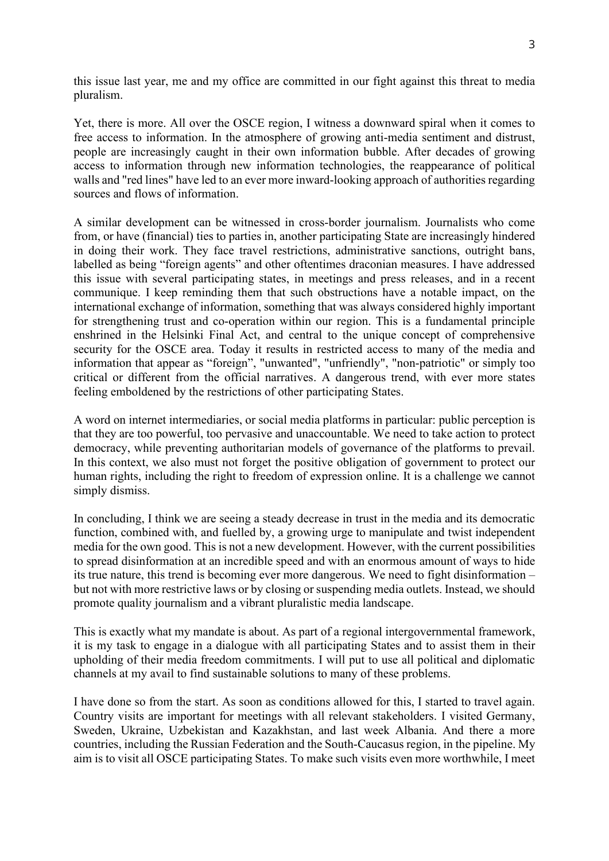this issue last year, me and my office are committed in our fight against this threat to media pluralism.

Yet, there is more. All over the OSCE region, I witness a downward spiral when it comes to free access to information. In the atmosphere of growing anti-media sentiment and distrust, people are increasingly caught in their own information bubble. After decades of growing access to information through new information technologies, the reappearance of political walls and "red lines" have led to an ever more inward-looking approach of authorities regarding sources and flows of information.

A similar development can be witnessed in cross-border journalism. Journalists who come from, or have (financial) ties to parties in, another participating State are increasingly hindered in doing their work. They face travel restrictions, administrative sanctions, outright bans, labelled as being "foreign agents" and other oftentimes draconian measures. I have addressed this issue with several participating states, in meetings and press releases, and in a recent communique. I keep reminding them that such obstructions have a notable impact, on the international exchange of information, something that was always considered highly important for strengthening trust and co-operation within our region. This is a fundamental principle enshrined in the Helsinki Final Act, and central to the unique concept of comprehensive security for the OSCE area. Today it results in restricted access to many of the media and information that appear as "foreign", "unwanted", "unfriendly", "non‐patriotic" or simply too critical or different from the official narratives. A dangerous trend, with ever more states feeling emboldened by the restrictions of other participating States.

A word on internet intermediaries, or social media platforms in particular: public perception is that they are too powerful, too pervasive and unaccountable. We need to take action to protect democracy, while preventing authoritarian models of governance of the platforms to prevail. In this context, we also must not forget the positive obligation of government to protect our human rights, including the right to freedom of expression online. It is a challenge we cannot simply dismiss.

In concluding, I think we are seeing a steady decrease in trust in the media and its democratic function, combined with, and fuelled by, a growing urge to manipulate and twist independent media for the own good. This is not a new development. However, with the current possibilities to spread disinformation at an incredible speed and with an enormous amount of ways to hide its true nature, this trend is becoming ever more dangerous. We need to fight disinformation – but not with more restrictive laws or by closing or suspending media outlets. Instead, we should promote quality journalism and a vibrant pluralistic media landscape.

This is exactly what my mandate is about. As part of a regional intergovernmental framework, it is my task to engage in a dialogue with all participating States and to assist them in their upholding of their media freedom commitments. I will put to use all political and diplomatic channels at my avail to find sustainable solutions to many of these problems.

I have done so from the start. As soon as conditions allowed for this, I started to travel again. Country visits are important for meetings with all relevant stakeholders. I visited Germany, Sweden, Ukraine, Uzbekistan and Kazakhstan, and last week Albania. And there a more countries, including the Russian Federation and the South-Caucasus region, in the pipeline. My aim is to visit all OSCE participating States. To make such visits even more worthwhile, I meet